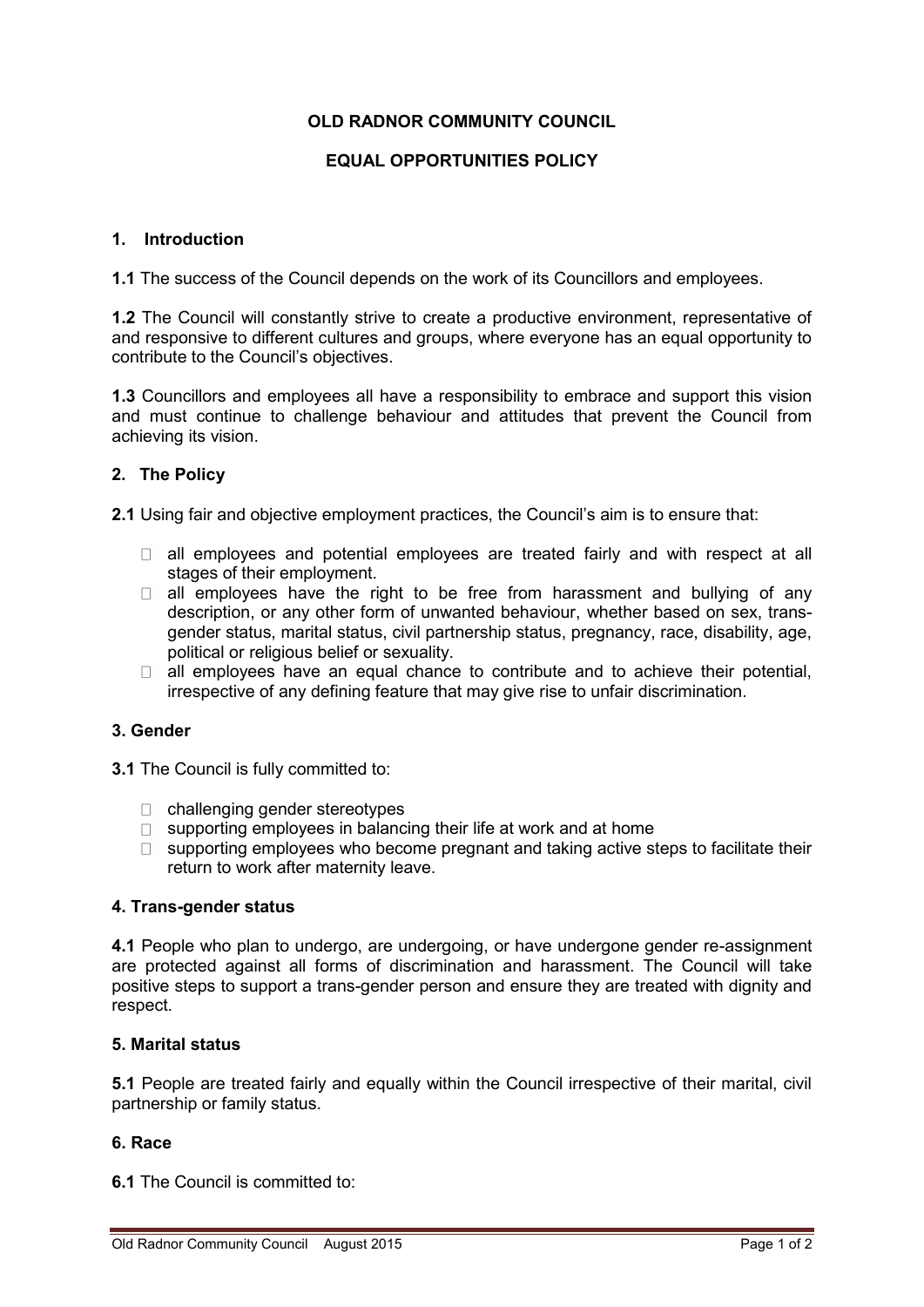# **OLD RADNOR COMMUNITY COUNCIL**

# **EQUAL OPPORTUNITIES POLICY**

#### **1. Introduction**

**1.1** The success of the Council depends on the work of its Councillors and employees.

**1.2** The Council will constantly strive to create a productive environment, representative of and responsive to different cultures and groups, where everyone has an equal opportunity to contribute to the Council's objectives.

**1.3** Councillors and employees all have a responsibility to embrace and support this vision and must continue to challenge behaviour and attitudes that prevent the Council from achieving its vision.

# **2. The Policy**

**2.1** Using fair and objective employment practices, the Council's aim is to ensure that:

- $\Box$  all employees and potential employees are treated fairly and with respect at all stages of their employment.
- all employees have the right to be free from harassment and bullying of any  $\Box$ description, or any other form of unwanted behaviour, whether based on sex, transgender status, marital status, civil partnership status, pregnancy, race, disability, age, political or religious belief or sexuality.
- $\Box$  all employees have an equal chance to contribute and to achieve their potential, irrespective of any defining feature that may give rise to unfair discrimination.

### **3. Gender**

**3.1** The Council is fully committed to:

- □ challenging gender stereotypes
- $\Box$  supporting employees in balancing their life at work and at home
- $\Box$  supporting employees who become pregnant and taking active steps to facilitate their return to work after maternity leave.

### **4. Trans-gender status**

**4.1** People who plan to undergo, are undergoing, or have undergone gender re-assignment are protected against all forms of discrimination and harassment. The Council will take positive steps to support a trans-gender person and ensure they are treated with dignity and respect.

### **5. Marital status**

**5.1** People are treated fairly and equally within the Council irrespective of their marital, civil partnership or family status.

### **6. Race**

**6.1** The Council is committed to: